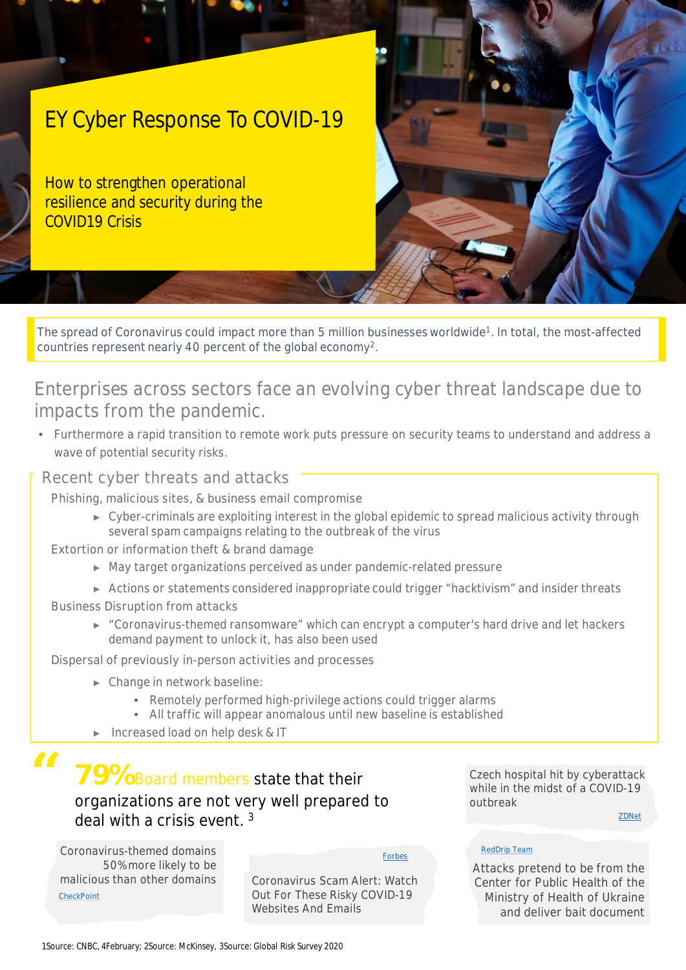# EY Cyber Response To COVID-19

How to strengthen operational resilience and security during the COVID19 Crisis

The spread of Coronavirus could impact more than 5 million businesses worldwide<sup>1</sup>. In total, the most-affected countries represent nearly 40 percent of the global economy<sup>2</sup>.

### Enterprises across sectors face an evolving cyber threat landscape due to impacts from the pandemic.

• Furthermore a rapid transition to remote work puts pressure on security teams to understand and address a wave of potential security risks.

### **Recent cyber threats and attacks**

**Phishing, malicious sites, & business email compromise**

- ► Cyber-criminals are exploiting interest in the global epidemic to spread malicious activity through several spam campaigns relating to the outbreak of the virus
- **Extortion or information theft & brand damage**
	- ► May target organizations perceived as under pandemic-related pressure
	- ► Actions or statements considered inappropriate could trigger "hacktivism" and insider threats
- **Business Disruption from attacks**
	- ► "Coronavirus-themed ransomware" which can encrypt a computer's hard drive and let hackers demand payment to unlock it, has also been used

**Dispersal of previously in-person activities and processes**

- ► Change in network baseline:
	- Remotely performed high-privilege actions could trigger alarms
	- All traffic will appear anomalous until new baseline is established
- ► Increased load on help desk & IT

## **79%** Board members state that their organizations are not very well prepared to deal with a crisis event. <sup>3</sup>

Coronavirus-themed domains Forbes 50% more likely to be malicious than other domains **CheckPoint** 

**"**

Coronavirus Scam Alert: Watch Out For These Risky COVID-19 Websites And Emails

Czech hospital hit by cyberattack while in the midst of a COVID-19 outbreak

ZDNet

#### RedDrip Team

Attacks pretend to be from the Center for Public Health of the Ministry of Health of Ukraine and deliver bait document